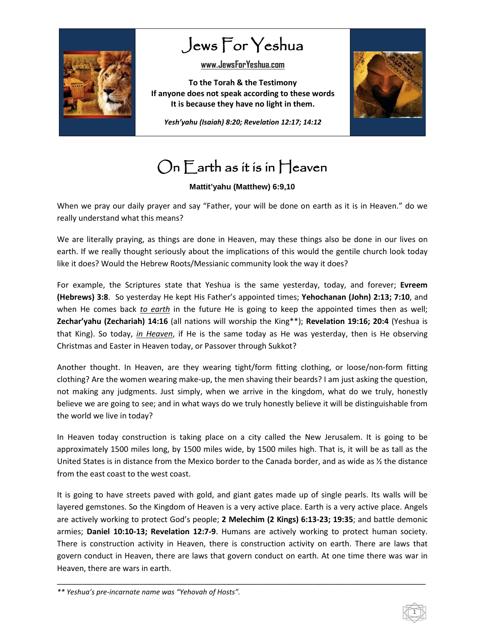

Jews For Yeshua

**[www.JewsForYeshua.com](http://www.jewsforyeshua.com/)**

**To the Torah & the Testimony If anyone does not speak according to these words It is because they have no light in them.**

*Yesh'yahu (Isaiah) 8:20; Revelation 12:17; 14:12*



## On Earth as it is in Heaven

## **Mattit'yahu (Matthew) 6:9,10**

When we pray our daily prayer and say "Father, your will be done on earth as it is in Heaven." do we really understand what this means?

We are literally praying, as things are done in Heaven, may these things also be done in our lives on earth. If we really thought seriously about the implications of this would the gentile church look today like it does? Would the Hebrew Roots/Messianic community look the way it does?

For example, the Scriptures state that Yeshua is the same yesterday, today, and forever; **Evreem (Hebrews) 3:8**. So yesterday He kept His Father's appointed times; **Yehochanan (John) 2:13; 7:10**, and when He comes back *to earth* in the future He is going to keep the appointed times then as well; **Zechar'yahu (Zechariah) 14:16** (all nations will worship the King\*\*); **Revelation 19:16; 20:4** (Yeshua is that King). So today, *in Heaven*, if He is the same today as He was yesterday, then is He observing Christmas and Easter in Heaven today, or Passover through Sukkot?

Another thought. In Heaven, are they wearing tight/form fitting clothing, or loose/non-form fitting clothing? Are the women wearing make-up, the men shaving their beards? I am just asking the question, not making any judgments. Just simply, when we arrive in the kingdom, what do we truly, honestly believe we are going to see; and in what ways do we truly honestly believe it will be distinguishable from the world we live in today?

In Heaven today construction is taking place on a city called the New Jerusalem. It is going to be approximately 1500 miles long, by 1500 miles wide, by 1500 miles high. That is, it will be as tall as the United States is in distance from the Mexico border to the Canada border, and as wide as  $\frac{1}{2}$  the distance from the east coast to the west coast.

It is going to have streets paved with gold, and giant gates made up of single pearls. Its walls will be layered gemstones. So the Kingdom of Heaven is a very active place. Earth is a very active place. Angels are actively working to protect God's people; **2 Melechim (2 Kings) 6:13-23; 19:35**; and battle demonic armies; **Daniel 10:10-13; Revelation 12:7-9**. Humans are actively working to protect human society. There is construction activity in Heaven, there is construction activity on earth. There are laws that govern conduct in Heaven, there are laws that govern conduct on earth. At one time there was war in Heaven, there are wars in earth.

\_\_\_\_\_\_\_\_\_\_\_\_\_\_\_\_\_\_\_\_\_\_\_\_\_\_\_\_\_\_\_\_\_\_\_\_\_\_\_\_\_\_\_\_\_\_\_\_\_\_\_\_\_\_\_\_\_\_\_\_\_\_\_\_\_\_\_\_\_\_\_\_\_\_\_\_\_\_\_\_\_\_\_\_\_

*\*\* Yeshua's pre-incarnate name was "Yehovah of Hosts".*

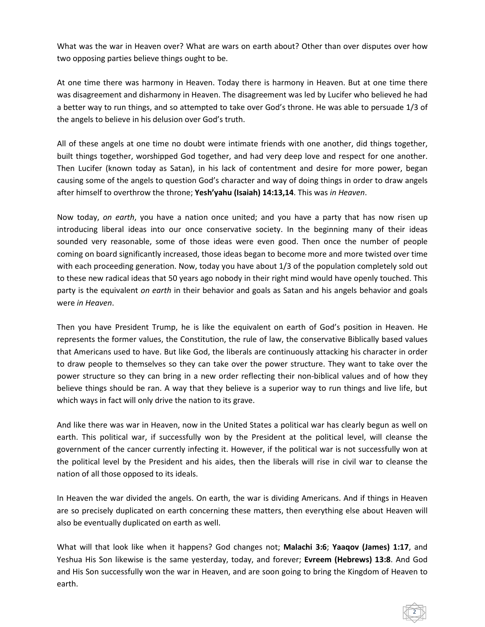What was the war in Heaven over? What are wars on earth about? Other than over disputes over how two opposing parties believe things ought to be.

At one time there was harmony in Heaven. Today there is harmony in Heaven. But at one time there was disagreement and disharmony in Heaven. The disagreement was led by Lucifer who believed he had a better way to run things, and so attempted to take over God's throne. He was able to persuade 1/3 of the angels to believe in his delusion over God's truth.

All of these angels at one time no doubt were intimate friends with one another, did things together, built things together, worshipped God together, and had very deep love and respect for one another. Then Lucifer (known today as Satan), in his lack of contentment and desire for more power, began causing some of the angels to question God's character and way of doing things in order to draw angels after himself to overthrow the throne; **Yesh'yahu (Isaiah) 14:13,14**. This was *in Heaven*.

Now today, *on earth*, you have a nation once united; and you have a party that has now risen up introducing liberal ideas into our once conservative society. In the beginning many of their ideas sounded very reasonable, some of those ideas were even good. Then once the number of people coming on board significantly increased, those ideas began to become more and more twisted over time with each proceeding generation. Now, today you have about 1/3 of the population completely sold out to these new radical ideas that 50 years ago nobody in their right mind would have openly touched. This party is the equivalent *on earth* in their behavior and goals as Satan and his angels behavior and goals were *in Heaven*.

Then you have President Trump, he is like the equivalent on earth of God's position in Heaven. He represents the former values, the Constitution, the rule of law, the conservative Biblically based values that Americans used to have. But like God, the liberals are continuously attacking his character in order to draw people to themselves so they can take over the power structure. They want to take over the power structure so they can bring in a new order reflecting their non-biblical values and of how they believe things should be ran. A way that they believe is a superior way to run things and live life, but which ways in fact will only drive the nation to its grave.

And like there was war in Heaven, now in the United States a political war has clearly begun as well on earth. This political war, if successfully won by the President at the political level, will cleanse the government of the cancer currently infecting it. However, if the political war is not successfully won at the political level by the President and his aides, then the liberals will rise in civil war to cleanse the nation of all those opposed to its ideals.

In Heaven the war divided the angels. On earth, the war is dividing Americans. And if things in Heaven are so precisely duplicated on earth concerning these matters, then everything else about Heaven will also be eventually duplicated on earth as well.

What will that look like when it happens? God changes not; **Malachi 3:6**; **Yaaqov (James) 1:17**, and Yeshua His Son likewise is the same yesterday, today, and forever; **Evreem (Hebrews) 13:8**. And God and His Son successfully won the war in Heaven, and are soon going to bring the Kingdom of Heaven to earth.

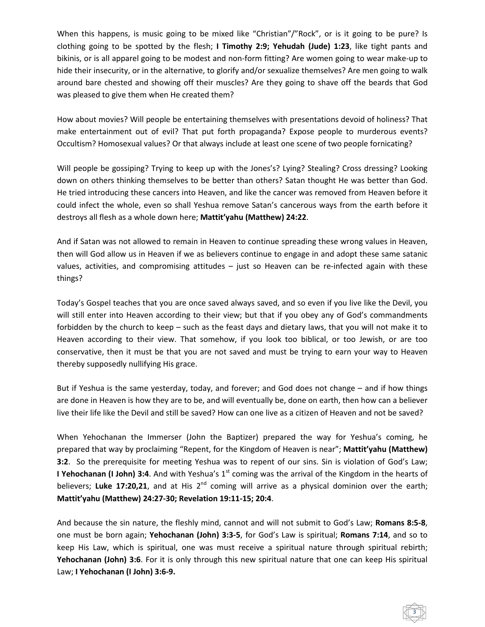When this happens, is music going to be mixed like "Christian"/"Rock", or is it going to be pure? Is clothing going to be spotted by the flesh; **I Timothy 2:9; Yehudah (Jude) 1:23**, like tight pants and bikinis, or is all apparel going to be modest and non-form fitting? Are women going to wear make-up to hide their insecurity, or in the alternative, to glorify and/or sexualize themselves? Are men going to walk around bare chested and showing off their muscles? Are they going to shave off the beards that God was pleased to give them when He created them?

How about movies? Will people be entertaining themselves with presentations devoid of holiness? That make entertainment out of evil? That put forth propaganda? Expose people to murderous events? Occultism? Homosexual values? Or that always include at least one scene of two people fornicating?

Will people be gossiping? Trying to keep up with the Jones's? Lying? Stealing? Cross dressing? Looking down on others thinking themselves to be better than others? Satan thought He was better than God. He tried introducing these cancers into Heaven, and like the cancer was removed from Heaven before it could infect the whole, even so shall Yeshua remove Satan's cancerous ways from the earth before it destroys all flesh as a whole down here; **Mattit'yahu (Matthew) 24:22**.

And if Satan was not allowed to remain in Heaven to continue spreading these wrong values in Heaven, then will God allow us in Heaven if we as believers continue to engage in and adopt these same satanic values, activities, and compromising attitudes – just so Heaven can be re-infected again with these things?

Today's Gospel teaches that you are once saved always saved, and so even if you live like the Devil, you will still enter into Heaven according to their view; but that if you obey any of God's commandments forbidden by the church to keep – such as the feast days and dietary laws, that you will not make it to Heaven according to their view. That somehow, if you look too biblical, or too Jewish, or are too conservative, then it must be that you are not saved and must be trying to earn your way to Heaven thereby supposedly nullifying His grace.

But if Yeshua is the same yesterday, today, and forever; and God does not change – and if how things are done in Heaven is how they are to be, and will eventually be, done on earth, then how can a believer live their life like the Devil and still be saved? How can one live as a citizen of Heaven and not be saved?

When Yehochanan the Immerser (John the Baptizer) prepared the way for Yeshua's coming, he prepared that way by proclaiming "Repent, for the Kingdom of Heaven is near"; **Mattit'yahu (Matthew) 3:2**. So the prerequisite for meeting Yeshua was to repent of our sins. Sin is violation of God's Law; **I Yehochanan (I John) 3:4**. And with Yeshua's 1<sup>st</sup> coming was the arrival of the Kingdom in the hearts of believers; Luke 17:20,21, and at His 2<sup>nd</sup> coming will arrive as a physical dominion over the earth; **Mattit'yahu (Matthew) 24:27-30; Revelation 19:11-15; 20:4**.

And because the sin nature, the fleshly mind, cannot and will not submit to God's Law; **Romans 8:5-8**, one must be born again; **Yehochanan (John) 3:3-5**, for God's Law is spiritual; **Romans 7:14**, and so to keep His Law, which is spiritual, one was must receive a spiritual nature through spiritual rebirth; **Yehochanan (John) 3:6**. For it is only through this new spiritual nature that one can keep His spiritual Law; **I Yehochanan (I John) 3:6-9.**